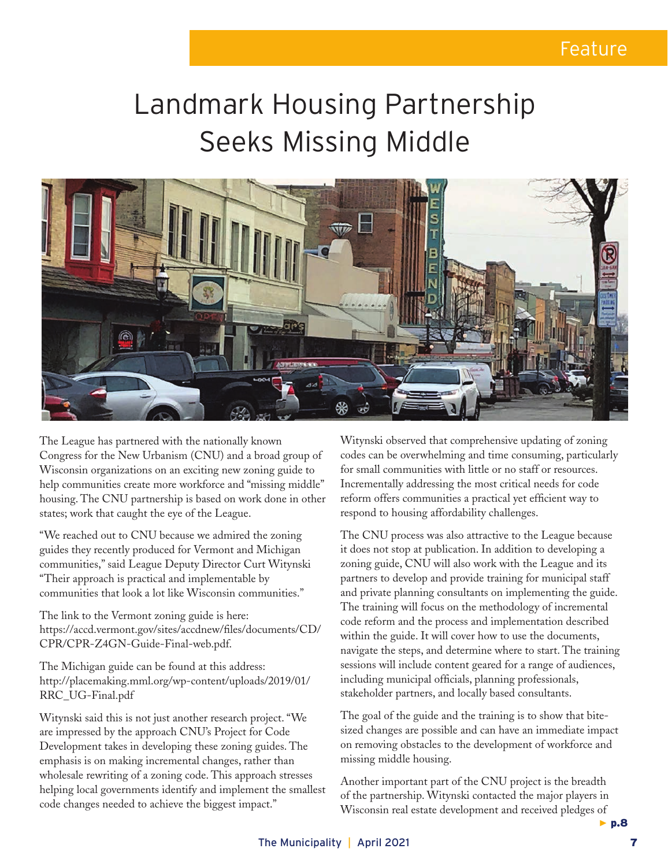## Landmark Housing Partnership Seeks Missing Middle



The League has partnered with the nationally known Congress for the New Urbanism (CNU) and a broad group of Wisconsin organizations on an exciting new zoning guide to help communities create more workforce and "missing middle" housing. The CNU partnership is based on work done in other states; work that caught the eye of the League.

"We reached out to CNU because we admired the zoning guides they recently produced for Vermont and Michigan communities," said League Deputy Director Curt Witynski "Their approach is practical and implementable by communities that look a lot like Wisconsin communities."

The link to the Vermont zoning guide is here: https://accd.vermont.gov/sites/accdnew/files/documents/CD/ CPR/CPR-Z4GN-Guide-Final-web.pdf.

The Michigan guide can be found at this address: http://placemaking.mml.org/wp-content/uploads/2019/01/ RRC\_UG-Final.pdf

Witynski said this is not just another research project. "We are impressed by the approach CNU's Project for Code Development takes in developing these zoning guides. The emphasis is on making incremental changes, rather than wholesale rewriting of a zoning code. This approach stresses helping local governments identify and implement the smallest code changes needed to achieve the biggest impact."

Witynski observed that comprehensive updating of zoning codes can be overwhelming and time consuming, particularly for small communities with little or no staff or resources. Incrementally addressing the most critical needs for code reform offers communities a practical yet efficient way to respond to housing affordability challenges.

The CNU process was also attractive to the League because it does not stop at publication. In addition to developing a zoning guide, CNU will also work with the League and its partners to develop and provide training for municipal staff and private planning consultants on implementing the guide. The training will focus on the methodology of incremental code reform and the process and implementation described within the guide. It will cover how to use the documents, navigate the steps, and determine where to start. The training sessions will include content geared for a range of audiences, including municipal officials, planning professionals, stakeholder partners, and locally based consultants.

The goal of the guide and the training is to show that bitesized changes are possible and can have an immediate impact on removing obstacles to the development of workforce and missing middle housing.

*▶* p.8 Another important part of the CNU project is the breadth of the partnership. Witynski contacted the major players in Wisconsin real estate development and received pledges of